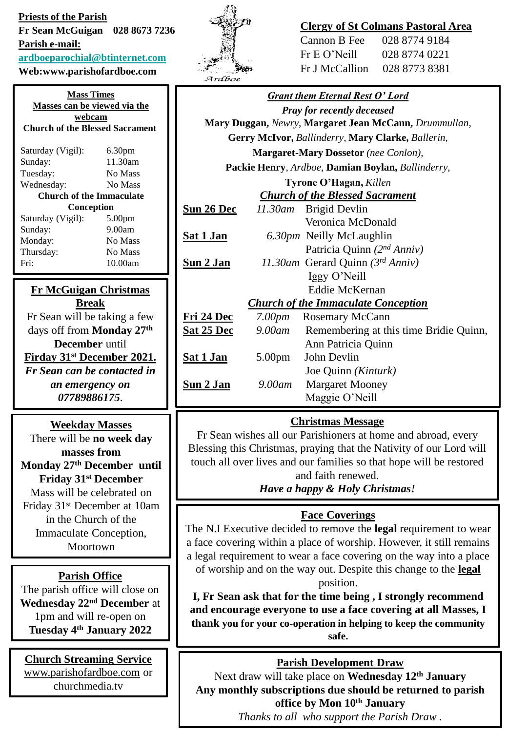**Priests of the Parish Fr Sean McGuigan 028 8673 7236 Parish e-mail: [ardboeparochial@btinternet.com](mailto:ardboeparochial@btinternet.com)**

**Web:www.parishofardboe.com**

| <b>Mass Times</b><br>Masses can be viewed via the |                    |  |        |
|---------------------------------------------------|--------------------|--|--------|
|                                                   |                    |  | webcam |
| <b>Church of the Blessed Sacrament</b>            |                    |  |        |
|                                                   |                    |  |        |
| Saturday (Vigil):                                 | 6.30 <sub>pm</sub> |  |        |
| Sunday:                                           | 11.30am            |  |        |
| Tuesday:                                          | No Mass            |  |        |
| Wednesday:                                        | No Mass            |  |        |
| <b>Church of the Immaculate</b>                   |                    |  |        |
| Conception                                        |                    |  |        |
| Saturday (Vigil):                                 | 5.00 <sub>pm</sub> |  |        |
| Sunday:                                           | 9.00am             |  |        |
| Monday:                                           | No Mass            |  |        |
| Thursday:                                         | No Mass            |  |        |
| Fri                                               | 10.00am            |  |        |
|                                                   |                    |  |        |

#### **Fr McGuigan Christmas Break**

Fr Sean will be taking a few days off from **Monday 27th December** until **Firday 31st December 2021.** *Fr Sean can be contacted in an emergency on 07789886175*.

## **Weekday Masses**

There will be **no week day masses from Monday 27th December until Friday 31st December** Mass will be celebrated on Friday 31st December at 10am in the Church of the Immaculate Conception, Moortown

## **Parish Office**

The parish office will close on **Wednesday 22nd December** at 1pm and will re-open on **Tuesday 4 th January 2022**

# **Church Streaming Service** [www.parishofardboe.com](http://www.parishofardboe.com/) or

churchmedia.tv



## **Clergy of St Colmans Pastoral Area**

| Cannon B Fee    | 028 8774 9184 |
|-----------------|---------------|
| $Fr E O'$ Neill | 028 8774 0221 |
| Fr J McCallion  | 028 8773 8381 |

| <b>Grant them Eternal Rest O' Lord</b>                |                    |                                                   |
|-------------------------------------------------------|--------------------|---------------------------------------------------|
| <b>Pray for recently deceased</b>                     |                    |                                                   |
| Mary Duggan, Newry, Margaret Jean McCann, Drummullan, |                    |                                                   |
|                                                       |                    | Gerry McIvor, Ballinderry, Mary Clarke, Ballerin, |
|                                                       |                    | <b>Margaret-Mary Dossetor</b> (nee Conlon),       |
| Packie Henry, Ardboe, Damian Boylan, Ballinderry,     |                    |                                                   |
| Tyrone O'Hagan, Killen                                |                    |                                                   |
| <b>Church of the Blessed Sacrament</b>                |                    |                                                   |
| <b>Sun 26 Dec</b>                                     |                    | 11.30am Brigid Devlin                             |
|                                                       |                    | Veronica McDonald                                 |
| <u>Sat 1 Jan</u>                                      |                    | 6.30pm Neilly McLaughlin                          |
|                                                       |                    | Patricia Quinn (2nd Anniv)                        |
| Sun 2 Jan                                             |                    | 11.30am Gerard Quinn (3rd Anniv)                  |
|                                                       |                    | Iggy O'Neill                                      |
|                                                       |                    | <b>Eddie McKernan</b>                             |
|                                                       |                    | <b>Church of the Immaculate Conception</b>        |
| Fri 24 Dec                                            |                    | 7.00pm Rosemary McCann                            |
| <b>Sat 25 Dec</b>                                     |                    | 9.00am Remembering at this time Bridie Quinn,     |
|                                                       |                    | Ann Patricia Quinn                                |
| <u>Sat 1 Jan</u>                                      | 5.00 <sub>pm</sub> | John Devlin                                       |
|                                                       |                    | Joe Quinn (Kinturk)                               |
| Sun 2 Jan                                             | 9.00am             | <b>Margaret Mooney</b>                            |
|                                                       |                    | Maggie O'Neill                                    |

# **Christmas Message**

Fr Sean wishes all our Parishioners at home and abroad, every Blessing this Christmas, praying that the Nativity of our Lord will touch all over lives and our families so that hope will be restored and faith renewed.

*Have a happy & Holy Christmas!*

# **Face Coverings**

The N.I Executive decided to remove the **legal** requirement to wear a face covering within a place of worship. However, it still remains a legal requirement to wear a face covering on the way into a place of worship and on the way out. Despite this change to the **legal** position.

**I, Fr Sean ask that for the time being , I strongly recommend and encourage everyone to use a face covering at all Masses, I thank you for your co-operation in helping to keep the community safe.**

# **Parish Development Draw**

Next draw will take place on **Wednesday 12th January Any monthly subscriptions due should be returned to parish office by Mon 10th January**

*Thanks to all who support the Parish Draw .*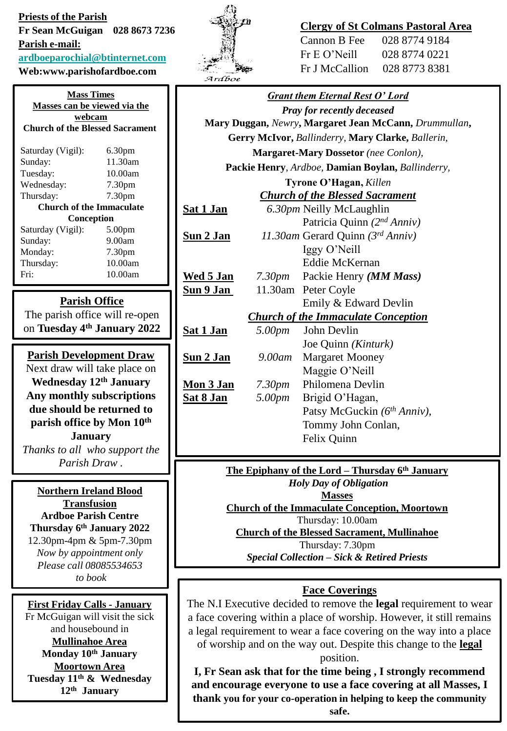**Priests of the Parish Fr Sean McGuigan 028 8673 7236 Parish e-mail: [ardboeparochial@btinternet.com](mailto:ardboeparochial@btinternet.com)**

**Web:www.parishofardboe.com**

**Mass Times Masses can be viewed via the webcam Church of the Blessed Sacrament** Saturday (Vigil): 6.30pm Sunday: 11.30am Tuesday: 10.00am Wednesday: 7.30pm Thursday: 7.30pm **Church of the Immaculate Conception** Saturday (Vigil): 5.00pm Sunday: 9.00am Monday: 7.30pm Thursday: 10.00am Fri: 10.00am

#### **Parish Office**

The parish office will re-open on **Tuesday 4th January 2022**

**Parish Development Draw** Next draw will take place on **Wednesday 12th January Any monthly subscriptions due should be returned to parish office by Mon 10th January**

*Thanks to all who support the Parish Draw .*

**Northern Ireland Blood Transfusion Ardboe Parish Centre Thursday 6th January 2022** 12.30pm-4pm & 5pm-7.30pm *Now by appointment only Please call 08085534653 to book*

**First Friday Calls - January** Fr McGuigan will visit the sick and housebound in **Mullinahoe Area Monday 10th January Moortown Area Tuesday 11th & Wednesday 12th January**



### **Clergy of St Colmans Pastoral Area**

| Cannon B Fee   | 028 8774 9184 |
|----------------|---------------|
| Fr E O' Neill  | 028 8774 0221 |
| Fr J McCallion | 028 8773 8381 |

*Grant them Eternal Rest O' Lord Pray for recently deceased* **Mary Duggan,** *Newry***, Margaret Jean McCann,** *Drummullan***, Gerry McIvor,** *Ballinderry,* **Mary Clarke,** *Ballerin,*  **Margaret-Mary Dossetor** *(nee Conlon),*  **Packie Henry**, *Ardboe,* **Damian Boylan,** *Ballinderry,*  **Tyrone O'Hagan,** *Killen Church of the Blessed Sacrament* **Sat 1 Jan** *6.30pm* Neilly McLaughlin Patricia Quinn *(2nd Anniv)* **Sun 2 Jan** *11.30am* Gerard Quinn *(3rd Anniv)* Iggy O'Neill Eddie McKernan **Wed 5 Jan** *7.30pm* Packie Henry *(MM Mass)* **Sun 9 Jan** 11.30am Peter Coyle Emily & Edward Devlin *Church of the Immaculate Conception* **Sat 1 Jan** *5.00pm* John Devlin Joe Quinn *(Kinturk)* **Sun 2 Jan** *9.00am* Margaret Mooney Maggie O'Neill **Mon 3 Jan** *7.30pm* Philomena Devlin **Sat 8 Jan** *5.00pm* Brigid O'Hagan, Patsy McGuckin *(6th Anniv),* Tommy John Conlan, Felix Quinn **The Epiphany of the Lord – Thursday 6th January** *Holy Day of Obligation* **Masses Church of the Immaculate Conception, Moortown** Thursday: 10.00am

**Church of the Blessed Sacrament, Mullinahoe**

Thursday: 7.30pm

*Special Collection – Sick & Retired Priests*

### **Face Coverings**

The N.I Executive decided to remove the **legal** requirement to wear a face covering within a place of worship. However, it still remains a legal requirement to wear a face covering on the way into a place of worship and on the way out. Despite this change to the **legal** position.

**I, Fr Sean ask that for the time being , I strongly recommend and encourage everyone to use a face covering at all Masses, I thank you for your co-operation in helping to keep the community safe.**